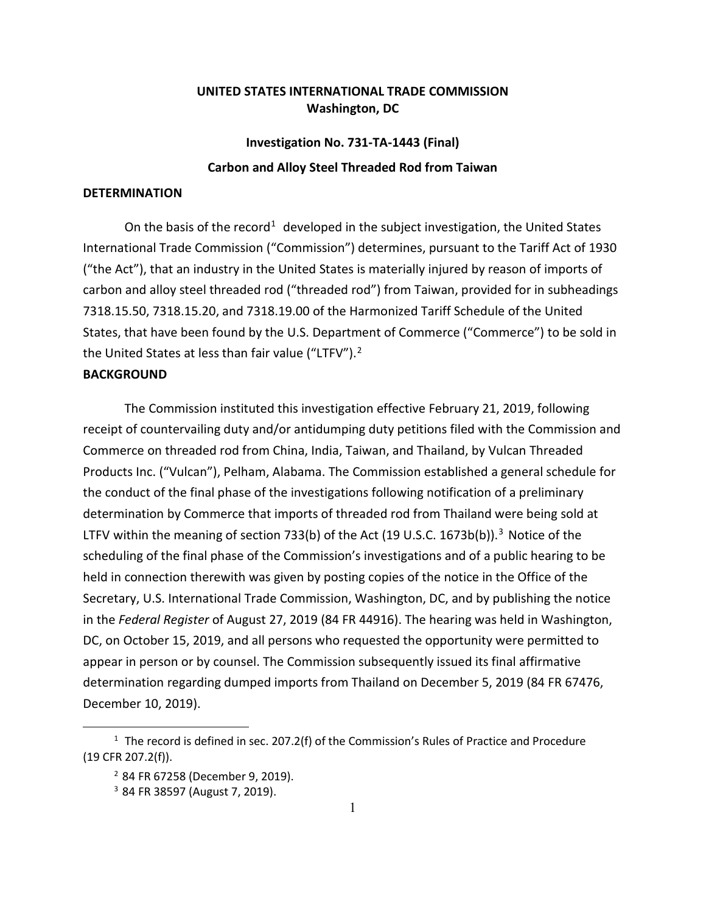## **UNITED STATES INTERNATIONAL TRADE COMMISSION Washington, DC**

## **Investigation No. 731-TA-1443 (Final) Carbon and Alloy Steel Threaded Rod from Taiwan**

## **DETERMINATION**

On the basis of the record<sup>[1](#page-0-0)</sup> developed in the subject investigation, the United States International Trade Commission ("Commission") determines, pursuant to the Tariff Act of 1930 ("the Act"), that an industry in the United States is materially injured by reason of imports of carbon and alloy steel threaded rod ("threaded rod") from Taiwan, provided for in subheadings 7318.15.50, 7318.15.20, and 7318.19.00 of the Harmonized Tariff Schedule of the United States, that have been found by the U.S. Department of Commerce ("Commerce") to be sold in the United States at less than fair value ("LTFV").<sup>[2](#page-0-1)</sup>

## **BACKGROUND**

The Commission instituted this investigation effective February 21, 2019, following receipt of countervailing duty and/or antidumping duty petitions filed with the Commission and Commerce on threaded rod from China, India, Taiwan, and Thailand, by Vulcan Threaded Products Inc. ("Vulcan"), Pelham, Alabama. The Commission established a general schedule for the conduct of the final phase of the investigations following notification of a preliminary determination by Commerce that imports of threaded rod from Thailand were being sold at LTFV within the meaning of section 7[3](#page-0-2)3(b) of the Act (19 U.S.C. 1673b(b)).<sup>3</sup> Notice of the scheduling of the final phase of the Commission's investigations and of a public hearing to be held in connection therewith was given by posting copies of the notice in the Office of the Secretary, U.S. International Trade Commission, Washington, DC, and by publishing the notice in the *Federal Register* of August 27, 2019 (84 FR 44916). The hearing was held in Washington, DC, on October 15, 2019, and all persons who requested the opportunity were permitted to appear in person or by counsel. The Commission subsequently issued its final affirmative determination regarding dumped imports from Thailand on December 5, 2019 (84 FR 67476, December 10, 2019).

<span id="page-0-2"></span><span id="page-0-1"></span><span id="page-0-0"></span> $1$  The record is defined in sec. 207.2(f) of the Commission's Rules of Practice and Procedure (19 CFR 207.2(f)).

<sup>2</sup> 84 FR 67258 (December 9, 2019).

<sup>3</sup> 84 FR 38597 (August 7, 2019).